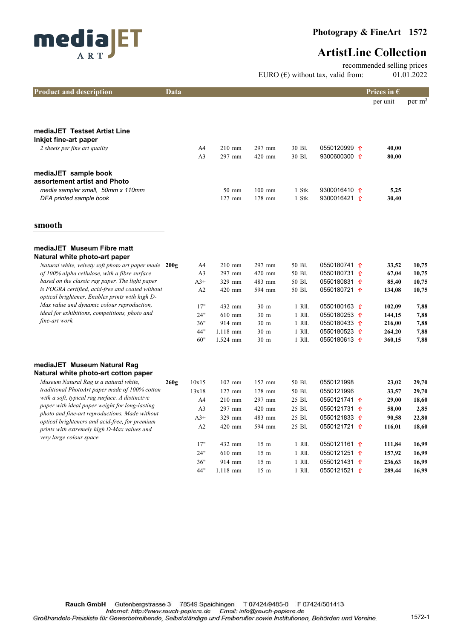

recommended selling prices EURO  $(\epsilon)$  without tax, valid from: 01.01.2022

| <b>Product and description</b>                                                                      | Data |                |          |                 |        |                         | Prices in $\epsilon$ |                    |
|-----------------------------------------------------------------------------------------------------|------|----------------|----------|-----------------|--------|-------------------------|----------------------|--------------------|
|                                                                                                     |      |                |          |                 |        |                         | per unit             | per m <sup>2</sup> |
|                                                                                                     |      |                |          |                 |        |                         |                      |                    |
|                                                                                                     |      |                |          |                 |        |                         |                      |                    |
| mediaJET Testset Artist Line<br>Inkjet fine-art paper                                               |      |                |          |                 |        |                         |                      |                    |
| 2 sheets per fine art quality                                                                       |      | A4             | $210$ mm | 297 mm          | 30 Bl. | 0550120999 1            | 40,00                |                    |
|                                                                                                     |      | A <sub>3</sub> | 297 mm   | 420 mm          | 30 Bl. | 9300600300 1            | 80,00                |                    |
|                                                                                                     |      |                |          |                 |        |                         |                      |                    |
| mediaJET sample book<br>assortement artist and Photo                                                |      |                |          |                 |        |                         |                      |                    |
| media sampler small, 50mm x 110mm                                                                   |      |                | 50 mm    | $100$ mm        | 1 Stk. | 9300016410 1            | 5,25                 |                    |
| DFA printed sample book                                                                             |      |                | $127$ mm | 178 mm          | 1 Stk. | 9300016421 <del>1</del> | 30,40                |                    |
|                                                                                                     |      |                |          |                 |        |                         |                      |                    |
|                                                                                                     |      |                |          |                 |        |                         |                      |                    |
| smooth                                                                                              |      |                |          |                 |        |                         |                      |                    |
| mediaJET Museum Fibre matt                                                                          |      |                |          |                 |        |                         |                      |                    |
| Natural white photo-art paper                                                                       |      |                |          |                 |        |                         |                      |                    |
| Natural white, velvety soft photo art paper made 200g                                               |      | A4             | $210$ mm | 297 mm          | 50 Bl. | 0550180741 1            | 33,52                | 10,75              |
| of 100% alpha cellulose, with a fibre surface                                                       |      | A <sub>3</sub> | 297 mm   | 420 mm          | 50 Bl. | 0550180731 1            | 67,04                | 10,75              |
| based on the classic rag paper. The light paper                                                     |      | $A3+$          | 329 mm   | 483 mm          | 50 Bl. | 0550180831 1            | 85,40                | 10,75              |
| is FOGRA certified, acid-free and coated without<br>optical brightener. Enables prints with high D- |      | A2             | 420 mm   | 594 mm          | 50 Bl. | 0550180721 <del>1</del> | 134,08               | 10,75              |
| Max value and dynamic colour reproduction,                                                          |      | 17"            | 432 mm   | 30 m            | 1 Rll. | 0550180163 <del>1</del> | 102,09               | 7,88               |
| ideal for exhibitions, competitions, photo and                                                      |      | 24"            | $610$ mm | 30 <sub>m</sub> | 1 RII. | 0550180253 <del>1</del> | 144,15               | 7,88               |
| fine-art work.                                                                                      |      | 36"            | 914 mm   | 30 <sub>m</sub> | 1 RII. | 0550180433 <del>1</del> | 216,00               | 7,88               |
|                                                                                                     |      | 44"            | 1.118 mm | 30 <sub>m</sub> | 1 Rll. | 0550180523 1            | 264,20               | 7,88               |
|                                                                                                     |      | 60"            | 1.524 mm | 30 <sub>m</sub> | 1 RII. | 0550180613 1            | 360,15               | 7,88               |
|                                                                                                     |      |                |          |                 |        |                         |                      |                    |
| mediaJET Museum Natural Rag                                                                         |      |                |          |                 |        |                         |                      |                    |
| Natural white photo-art cotton paper                                                                |      |                |          |                 |        |                         |                      |                    |
| Museum Natural Rag is a natural white,<br>traditional PhotoArt paper made of 100% cotton            | 260g | 10x15          | $102$ mm | 152 mm          | 50 Bl. | 0550121998              | 23,02                | 29,70              |
| with a soft, typical rag surface. A distinctive                                                     |      | 13x18          | $127$ mm | 178 mm          | 50 Bl. | 0550121996              | 33,57                | 29,70              |
| paper with ideal paper weight for long-lasting                                                      |      | A4             | 210 mm   | 297 mm          | 25 Bl. | 0550121741 <del>1</del> | 29,00                | 18,60              |
| photo and fine-art reproductions. Made without                                                      |      | A <sub>3</sub> | 297 mm   | 420 mm          | 25 Bl. | 0550121731 <del>1</del> | 58,00                | 2,85               |
| optical brighteners and acid-free, for premium                                                      |      | $A3+$          | 329 mm   | 483 mm          | 25 Bl. | 0550121833 1            | 90,58                | 22,80              |
| prints with extremely high D-Max values and<br>very large colour space.                             |      | A2             | 420 mm   | 594 mm          | 25 Bl. | 0550121721 <del>1</del> | 116,01               | 18,60              |
|                                                                                                     |      | 17"            | 432 mm   | $15 \text{ m}$  | 1 Rll. | 0550121161 <del>1</del> | 111,84               | 16,99              |
|                                                                                                     |      | 24"            | 610 mm   | 15 <sub>m</sub> | 1 Rll. | 0550121251 <del>1</del> | 157,92               | 16,99              |
|                                                                                                     |      | 36"            | 914 mm   | 15 <sub>m</sub> | 1 RII. | 0550121431 1            | 236,63               | 16,99              |
|                                                                                                     |      | 44"            | 1.118 mm | 15 <sub>m</sub> | 1 Rll. | 0550121521 <del>1</del> | 289,44               | 16,99              |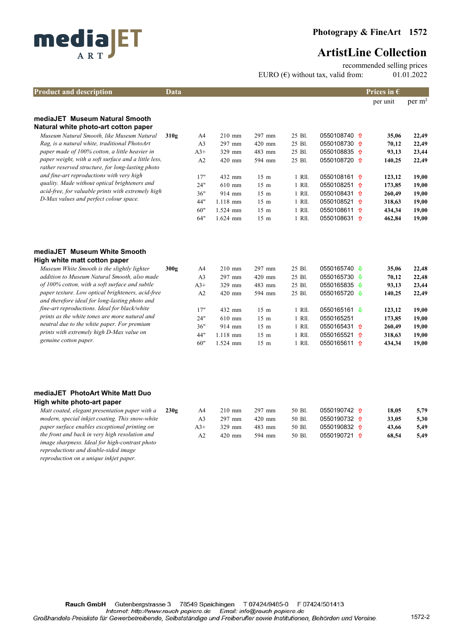

recommended selling prices

EURO  $(\epsilon)$  without tax, valid from: 01.01.2022

| <b>Product and description</b>                                                                      | Data |                |            |                 |        |                         | Prices in $\epsilon$ |                    |
|-----------------------------------------------------------------------------------------------------|------|----------------|------------|-----------------|--------|-------------------------|----------------------|--------------------|
|                                                                                                     |      |                |            |                 |        |                         | per unit             | per m <sup>2</sup> |
| mediaJET Museum Natural Smooth<br>Natural white photo-art cotton paper                              |      |                |            |                 |        |                         |                      |                    |
| Museum Natural Smooth, like Museum Natural                                                          | 310g | A4             | $210$ mm   | 297 mm          | 25 Bl. | 0550108740 1            | 35,06                | 22,49              |
| Rag, is a natural white, traditional PhotoArt                                                       |      | A <sub>3</sub> | 297 mm     | 420 mm          | 25 Bl. | 0550108730 1            | 70,12                | 22,49              |
| paper made of 100% cotton, a little heavier in                                                      |      | $A3+$          | 329 mm     | 483 mm          | 25 Bl. | 0550108835 1            | 93,13                | 23,44              |
| paper weight, with a soft surface and a little less,                                                |      | A2             | 420 mm     | 594 mm          | 25 Bl. | 0550108720 1            | 140,25               | 22,49              |
| rather reserved structure, for long-lasting photo<br>and fine-art reproductions with very high      |      | 17"            | 432 mm     | 15 <sub>m</sub> | 1 Rll. | 0550108161 1            | 123,12               | 19,00              |
| quality. Made without optical brighteners and                                                       |      | 24"            | $610$ mm   | 15 <sub>m</sub> | 1 RII. | 0550108251 <del>1</del> | 173,85               | 19,00              |
| acid-free, for valuable prints with extremely high                                                  |      | 36"            | 914 mm     | 15 <sub>m</sub> | 1 RII. | 0550108431 1            | 260,49               | 19,00              |
| D-Max values and perfect colour space.                                                              |      | 44"            | $1.118$ mm | 15 <sub>m</sub> | 1 RII. | 0550108521 1            | 318,63               | 19,00              |
|                                                                                                     |      | 60"            | $1.524$ mm | 15 <sub>m</sub> | 1 Rll. | 0550108611 1            | 434,34               | 19,00              |
|                                                                                                     |      | 64"            | $1.624$ mm | 15 <sub>m</sub> | 1 Rll. | 0550108631 <del>1</del> | 462,84               | 19,00              |
| mediaJET Museum White Smooth                                                                        |      |                |            |                 |        |                         |                      |                    |
| High white matt cotton paper                                                                        |      |                |            |                 |        |                         |                      |                    |
| Museum White Smooth is the slightly lighter                                                         | 300g | A <sub>4</sub> | $210$ mm   | 297 mm          | 25 Bl. | 0550165740 ↓            | 35,06                | 22,48              |
| addition to Museum Natural Smooth, also made                                                        |      | A <sub>3</sub> | 297 mm     | 420 mm          | 25 Bl. | 0550165730 ↓            | 70,12                | 22,48              |
| of 100% cotton, with a soft surface and subtle                                                      |      | $A3+$          | 329 mm     | 483 mm          | 25 Bl. | 0550165835 ↓            | 93,13                | 23,44              |
| paper texture. Low optical brighteners, acid-free<br>and therefore ideal for long-lasting photo and |      | A2             | 420 mm     | 594 mm          | 25 Bl. | 0550165720 ↓            | 140,25               | 22,49              |
| fine-art reproductions. Ideal for black/white                                                       |      | 17"            | 432 mm     | 15 <sub>m</sub> | 1 Rll. | 0550165161 ↓            | 123,12               | 19,00              |
| prints as the white tones are more natural and                                                      |      | 24"            | 610 mm     | 15 <sub>m</sub> | 1 RII. | 0550165251              | 173,85               | 19,00              |
| neutral due to the white paper. For premium                                                         |      | 36"            | 914 mm     | 15 <sub>m</sub> | 1 Rll. | 0550165431 1            | 260,49               | 19,00              |
| prints with extremely high D-Max value on                                                           |      | 44"            | $1.118$ mm | 15 <sub>m</sub> | 1 RII. | 0550165521 1            | 318,63               | 19,00              |
| genuine cotton paper.                                                                               |      | 60"            | 1.524 mm   | 15 <sub>m</sub> | 1 Rll. | 0550165611 1            | 434,34               | 19,00              |

### mediaJET PhotoArt White Matt Duo

| High white photo-art paper                      |      |       |          |          |        |                               |       |      |
|-------------------------------------------------|------|-------|----------|----------|--------|-------------------------------|-------|------|
| Matt coated, elegant presentation paper with a  | 230g | A4    | $210$ mm | $297$ mm | 50 BL  | 0550190742 $\hat{\textbf{n}}$ | 18.05 | 5.79 |
| modern, special inkjet coating. This snow-white |      | A3    | $297$ mm | $420$ mm | 50 Bl. | 0550190732 $\hat{\mathbf{n}}$ | 33.05 | 5,30 |
| paper surface enables exceptional printing on   |      | $A3+$ | 329 mm   | $483$ mm | 50 Bl. | 0550190832 $\hat{\mathbf{n}}$ | 43.66 | 5.49 |
| the front and back in very high resolution and  |      | A2    | $420$ mm | 594 mm   | 50 BL  | 0550190721 $\hat{\mathbf{n}}$ | 68,54 | 5,49 |
| image sharpness. Ideal for high-contrast photo  |      |       |          |          |        |                               |       |      |
| reproductions and double-sided image            |      |       |          |          |        |                               |       |      |
| reproduction on a unique inkjet paper.          |      |       |          |          |        |                               |       |      |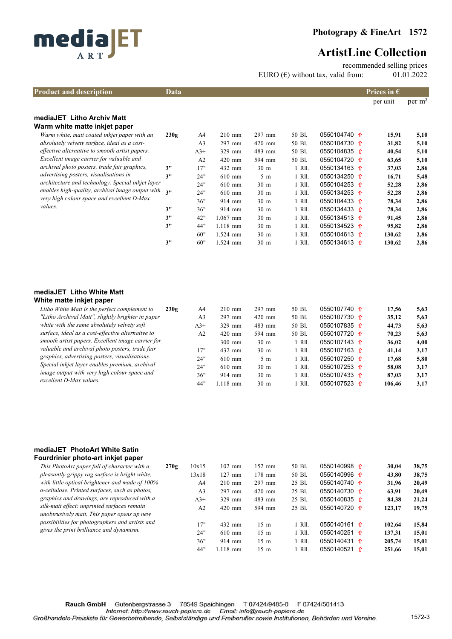

recommended selling prices

EURO  $(\epsilon)$  without tax, valid from: 01.01.2022

| <b>Product and description</b>                    | Data |                |            |                 |        |                               | Prices in $\epsilon$ |             |
|---------------------------------------------------|------|----------------|------------|-----------------|--------|-------------------------------|----------------------|-------------|
|                                                   |      |                |            |                 |        |                               | per unit             | $per \, m2$ |
| mediaJET Litho Archiv Matt                        |      |                |            |                 |        |                               |                      |             |
| Warm white matte inkjet paper                     |      |                |            |                 |        |                               |                      |             |
| Warm white, matt coated inkjet paper with an      | 230g | A4             | $210$ mm   | 297 mm          | 50 Bl. | 0550104740 1                  | 15,91                | 5,10        |
| absolutely velvety surface, ideal as a cost-      |      | A <sub>3</sub> | $297$ mm   | $420$ mm        | 50 Bl. | 0550104730 $\hat{\textbf{n}}$ | 31,82                | 5,10        |
| effective alternative to smooth artist papers.    |      | $A3+$          | 329 mm     | 483 mm          | 50 Bl. | 0550104835 $\hat{\textbf{n}}$ | 40,54                | 5,10        |
| Excellent image carrier for valuable and          |      | A <sub>2</sub> | $420$ mm   | 594 mm          | 50 Bl. | 0550104720 <del>0</del>       | 63,65                | 5,10        |
| archival photo posters, trade fair graphics,      | 3"   | 17"            | 432 mm     | 30 <sub>m</sub> | 1 RII. | 0550134163 $\hat{\textbf{n}}$ | 37,03                | 2,86        |
| <i>advertising posters, visualisations in</i>     | 3"   | 24"            | $610$ mm   | $5 \text{ m}$   | 1 Rll. | 0550134250 <del>0</del>       | 16,71                | 5,48        |
| architecture and technology. Special inkjet layer |      | 24"            | $610$ mm   | 30 <sub>m</sub> | 1 Rll. | 0550104253 $\hat{\textbf{n}}$ | 52,28                | 2,86        |
| enables high-quality, archival image output with  | 211  | 24"            | $610$ mm   | 30 <sub>m</sub> | 1 Rll. | 0550134253 $\hat{\textbf{n}}$ | 52,28                | 2,86        |
| very high colour space and excellent D-Max        |      | 36"            | 914 mm     | 30 <sub>m</sub> | 1 Rll. | 0550104433 $\hat{\textbf{n}}$ | 78,34                | 2,86        |
| values.                                           | 3"   | 36"            | 914 mm     | 30 <sub>m</sub> | 1 RII. | 0550134433 $\hat{\textbf{n}}$ | 78,34                | 2,86        |
|                                                   | 3"   | 42"            | $1.067$ mm | 30 <sub>m</sub> | 1 RII. | 0550134513 $\hat{\textbf{n}}$ | 91,45                | 2,86        |
|                                                   | 3"   | 44"            | $1.118$ mm | 30 <sub>m</sub> | 1 RII. | 0550134523 <del>1</del>       | 95,82                | 2,86        |
|                                                   |      | 60"            | 1.524 mm   | 30 <sub>m</sub> | 1 Rll. | 0550104613 $\hat{\textbf{n}}$ | 130,62               | 2,86        |
|                                                   | 3"   | 60"            | 1.524 mm   | 30 <sub>m</sub> | 1 Rll. | 0550134613 $\hat{\textbf{n}}$ | 130,62               | 2,86        |

#### mediaJET Litho White Matt White matte inkjet paper

| Litho White Matt is the perfect complement to     | 230g | A4             | $210 \text{ mm}$ | $297$ mm        | 50 Bl. | 0550107740 $\hat{\mathbf{u}}$ | 17.56  | 5,63 |
|---------------------------------------------------|------|----------------|------------------|-----------------|--------|-------------------------------|--------|------|
| "Litho Archival Matt", slightly brighter in paper |      | A <sub>3</sub> | $297$ mm         | $420$ mm        | 50 Bl. | $0550107730 \text{ }$         | 35,12  | 5,63 |
| white with the same absolutely velvety soft       |      | $A3+$          | $329$ mm         | 483 mm          | 50 Bl. | $0550107835$ <del>1</del>     | 44,73  | 5,63 |
| surface, ideal as a cost-effective alternative to |      | A <sub>2</sub> | $420$ mm         | 594 mm          | 50 Bl. | 0550107720 $\hat{\mathbf{n}}$ | 70.23  | 5,63 |
| smooth artist papers. Excellent image carrier for |      |                | $300$ mm         | 30 <sub>m</sub> | 1 RII. | 0550107143 $\hat{\textbf{n}}$ | 36.02  | 4,00 |
| valuable and archival photo posters, trade fair   |      | 17"            | $432$ mm         | 30 <sub>m</sub> | 1 R11. | 0550107163 $\hat{\mathbf{n}}$ | 41.14  | 3.17 |
| graphics, advertising posters, visualisations.    |      | 24"            | $610$ mm         | 5m              | - R11. | 0550107250 $\hat{\mathbf{n}}$ | 17.68  | 5,80 |
| Special inkjet layer enables premium, archival    |      | 24"            | $610$ mm         | 30 <sub>m</sub> | - R11. | 0550107253 $\hat{\textbf{n}}$ | 58.08  | 3,17 |
| image output with very high colour space and      |      | 36"            | $914$ mm         | 30 <sub>m</sub> | . R11. | 0550107433 $\hat{\mathbf{n}}$ | 87,03  | 3.17 |
| excellent D-Max values.                           |      | 44"            | $.118$ mm        | 30 <sub>m</sub> | - R11. | 0550107523 $\hat{\mathbf{n}}$ | 106.46 | 3.17 |
|                                                   |      |                |                  |                 |        |                               |        |      |

### mediaJET PhotoArt White Satin Fourdrinier photo-art inkjet paper

| This PhotoArt paper full of character with a                                               | 270g | 10x15          | $102$ mm   | $152 \text{ mm}$ | 50 Bl.   | 0550140998 $\hat{\mathbf{n}}$ |   | 30.04  | 38,75 |
|--------------------------------------------------------------------------------------------|------|----------------|------------|------------------|----------|-------------------------------|---|--------|-------|
| pleasantly grippy rag surface is bright white,                                             |      | 13x18          | $127$ mm   | $178$ mm         | 50 Bl.   | 0550140996 $\hat{\mathbf{n}}$ |   | 43.80  | 38,75 |
| with little optical brightener and made of 100%                                            |      | A4             | $210$ mm   | 297 mm           | 25 Bl.   | 0550140740 $\hat{\mathbf{n}}$ |   | 31,96  | 20,49 |
| $\alpha$ -cellulose. Printed surfaces, such as photos,                                     |      | A <sub>3</sub> | $297$ mm   | $420$ mm         | 25 Bl.   | 0550140730 $\hat{\mathbf{n}}$ |   | 63.91  | 20,49 |
| graphics and drawings, are reproduced with a                                               |      | $A3+$          | 329 mm     | $483$ mm         | 25 Bl.   | $0550140835$ 1                |   | 84.38  | 21,24 |
| silk-matt effect; unprinted surfaces remain<br>unobtrusively matt. This paper opens up new |      | A <sub>2</sub> | $420$ mm   | 594 mm           | 25 Bl.   | 0550140720 $\hat{\mathbf{u}}$ |   | 123,17 | 19,75 |
| possibilities for photographers and artists and                                            |      | 17"            | 432 mm     | $15 \text{ m}$   | 1 RII.   | 0550140161 $\hat{\mathbf{n}}$ |   | 102.64 | 15,84 |
| gives the print brilliance and dynamism.                                                   |      | 24"            | $610$ mm   | $15 \text{ m}$   | $1$ RII. | 0550140251 $\hat{\mathbf{n}}$ |   | 137,31 | 15,01 |
|                                                                                            |      | 36"            | $914$ mm   | $15 \text{ m}$   | 1 Rll.   | 0550140431 <del>1</del>       |   | 205.74 | 15,01 |
|                                                                                            |      | 44"            | $1.118$ mm | $15 \text{ m}$   | 1 R11.   | 0550140521                    | ୀ | 251.66 | 15.01 |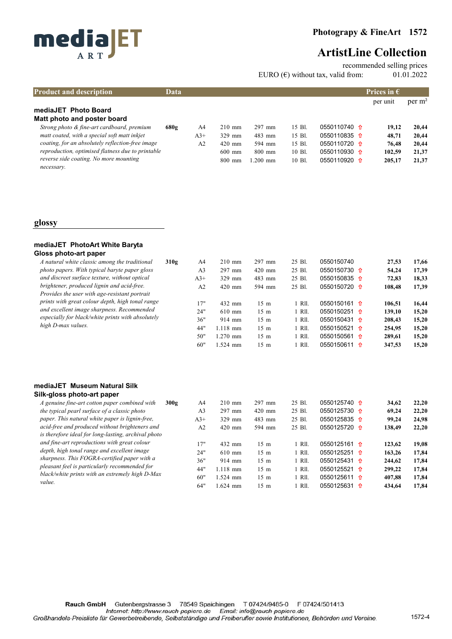



recommended selling prices

EURO ( $\epsilon$ ) without tax, valid from: 01.01.2022

| <b>Product and description</b>                       | Data |                |                  |            |        |                               | Prices in $\epsilon$ |             |
|------------------------------------------------------|------|----------------|------------------|------------|--------|-------------------------------|----------------------|-------------|
|                                                      |      |                |                  |            |        |                               | per unit             | $per \, m2$ |
| mediaJET Photo Board<br>Matt photo and poster board  |      |                |                  |            |        |                               |                      |             |
| Strong photo & fine-art cardboard, premium           | 680g | A4             | $210 \text{ mm}$ | $297$ mm   | 15 Bl. | $0550110740$ <del>t</del>     | 19.12                | 20.44       |
| matt coated, with a special soft matt inkjet         |      | $A3+$          | $329$ mm         | $483$ mm   | 15 Bl. | $0550110835$ <del>0</del>     | 48.71                | 20,44       |
| coating, for an absolutely reflection-free image     |      | A <sub>2</sub> | $420$ mm         | 594 mm     | 15 Bl. | $0550110720$ <del>t</del>     | 76.48                | 20,44       |
| reproduction, optimised flatness due to printable    |      |                | $600$ mm         | $800$ mm   | 10 Bl. | 0550110930 $\hat{\textbf{n}}$ | 102,59               | 21,37       |
| reverse side coating. No more mounting<br>necessary. |      |                | $800$ mm         | $1.200$ mm | 10 Bl. | 0550110920 $\hat{\textbf{n}}$ | 205,17               | 21,37       |

### glossy

### mediaJET PhotoArt White Baryta Gloss photo-art paper

| A natural white classic among the traditional                                               | 310g | A4             | $210$ mm   | $297$ mm       | 25 Bl. | 0550150740                    | 27.53  | 17,66 |
|---------------------------------------------------------------------------------------------|------|----------------|------------|----------------|--------|-------------------------------|--------|-------|
| photo papers. With typical baryte paper gloss                                               |      | A <sub>3</sub> | $297$ mm   | $420$ mm       | 25 Bl. | 0550150730 $\hat{\textbf{n}}$ | 54,24  | 17.39 |
| and discreet surface texture, without optical                                               |      | $A3+$          | $329$ mm   | 483 mm         | 25 Bl. | 0550150835 $\hat{\textbf{n}}$ | 72.83  | 18,33 |
| brightener, produced lignin and acid-free.<br>Provides the user with age-resistant portrait |      | A <sub>2</sub> | $420$ mm   | 594 mm         | 25 Bl. | 0550150720 <del>0</del>       | 108,48 | 17.39 |
| prints with great colour depth, high tonal range                                            |      | 17"            | 432 mm     | $15 \text{ m}$ | - R11. | $0550150161$ <del>t</del>     | 106.51 | 16,44 |
| and excellent image sharpness. Recommended                                                  |      | 24"            | $610$ mm   | $15 \text{ m}$ | - R11. | 0550150251 1                  | 139.10 | 15.20 |
| especially for black/white prints with absolutely                                           |      | 36"            | 914 mm     | $15 \text{ m}$ | - R11. | 0550150431 $\hat{\textbf{n}}$ | 208,43 | 15,20 |
| high D-max values.                                                                          |      | 44"            | $1.118$ mm | $15 \text{ m}$ | - R11. | 0550150521 1                  | 254,95 | 15.20 |
|                                                                                             |      | 50"            | $.270$ mm  | $15 \text{ m}$ | - R11. | 0550150561 $\hat{\mathbf{n}}$ | 289.61 | 15,20 |
|                                                                                             |      | 60"            | .524 mm    | $15 \text{ m}$ | - R11. | 0550150611 <del>1</del>       | 347.53 | 15.20 |

### mediaJET Museum Natural Silk Silk-gloss photo-art paper

| A genuine fine-art cotton paper combined with       | 300g | A4    | $210$ mm   | 297 mm         | 25 Bl. | 0550125740 $\hat{\textbf{n}}$ | 34.62  | 22,20 |
|-----------------------------------------------------|------|-------|------------|----------------|--------|-------------------------------|--------|-------|
| the typical pearl surface of a classic photo        |      | A3    | 297 mm     | $420$ mm       | 25 Bl. | 0550125730 $\hat{\textbf{n}}$ | 69.24  | 22,20 |
| paper. This natural white paper is lignin-free,     |      | $A3+$ | 329 mm     | $483$ mm       | 25 Bl. | $0550125835$ 1                | 99.24  | 24,98 |
| acid-free and produced without brighteners and      |      | A2    | $420$ mm   | 594 mm         | 25 Bl. | $0550125720$ <del>0</del>     | 138,49 | 22,20 |
| is therefore ideal for long-lasting, archival photo |      |       |            |                |        |                               |        |       |
| and fine-art reproductions with great colour        |      | 17"   | 432 mm     | $15 \text{ m}$ | 1 RII. | $0550125161$ <del>0</del>     | 123.62 | 19,08 |
| depth, high tonal range and excellent image         |      | 24"   | $610$ mm   | $15 \text{ m}$ | 1 Rll. | 0550125251 $\hat{\textbf{n}}$ | 163,26 | 17.84 |
| sharpness. This FOGRA-certified paper with a        |      | 36"   | $914$ mm   | $15 \text{ m}$ | 1 RII. | 0550125431 $\hat{\textbf{n}}$ | 244.62 | 17.84 |
| pleasant feel is particularly recommended for       |      | 44"   | $1.118$ mm | $15 \text{ m}$ | 1 Rll. | 0550125521 $\hat{\textbf{n}}$ | 299,22 | 17.84 |
| black/white prints with an extremely high D-Max     |      | 60"   | .524 mm    | $15 \text{ m}$ | 1 Rll. | 0550125611 <del>1</del>       | 407.88 | 17.84 |
| value.                                              |      | 64"   | $1.624$ mm | $15 \text{ m}$ | - R11. | $0550125631$ <del>t</del>     | 434,64 | 17,84 |
|                                                     |      |       |            |                |        |                               |        |       |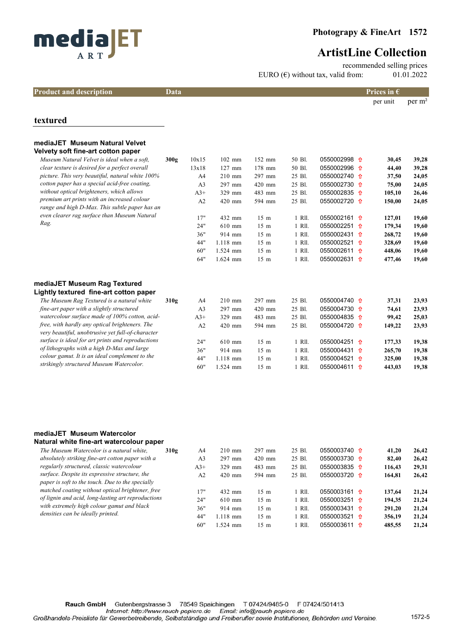

recommended selling prices EURO  $(\epsilon)$  without tax, valid from: 01.01.2022

| <b>Product and description</b> | Data | <b>Prices in <math>\epsilon</math></b> |
|--------------------------------|------|----------------------------------------|
|--------------------------------|------|----------------------------------------|

per unit per m²

### textured

| mediaJET Museum Natural Velvet<br>Velvety soft fine-art cotton paper                                |      |                |            |                 |        |                               |    |        |       |
|-----------------------------------------------------------------------------------------------------|------|----------------|------------|-----------------|--------|-------------------------------|----|--------|-------|
| Museum Natural Velvet is ideal when a soft,                                                         | 300g | 10x15          | $102$ mm   | $152$ mm        | 50 Bl. | 0550002998 $\hat{\mathbf{n}}$ |    | 30,45  | 39,28 |
| clear texture is desired for a perfect overall                                                      |      | 13x18          | $127$ mm   | 178 mm          | 50 Bl. | 0550002996 1                  |    | 44,40  | 39,28 |
| picture. This very beautiful, natural white 100%                                                    |      | A <sup>4</sup> | $210$ mm   | 297 mm          | 25 Bl. | 0550002740 1                  |    | 37,50  | 24,05 |
| cotton paper has a special acid-free coating,                                                       |      | A <sub>3</sub> | 297 mm     | $420$ mm        | 25 Bl. | 0550002730 1                  |    | 75,00  | 24,05 |
| without optical brighteners, which allows                                                           |      | $A3+$          | 329 mm     | 483 mm          | 25 Bl. | 0550002835 <del>1</del>       |    | 105,10 | 26,46 |
| premium art prints with an increased colour<br>range and high D-Max. This subtle paper has an       |      | A2             | 420 mm     | 594 mm          | 25 Bl. | 0550002720 1                  |    | 150,00 | 24,05 |
| even clearer rag surface than Museum Natural                                                        |      | 17"            | 432 mm     | 15 <sub>m</sub> | 1 RII. | 0550002161 <del>1</del>       |    | 127,01 | 19,60 |
| Rag.                                                                                                |      | 24"            | $610$ mm   | 15 <sub>m</sub> | 1 RII. | 0550002251 1                  |    | 179,34 | 19,60 |
|                                                                                                     |      | 36"            | 914 mm     | 15 <sub>m</sub> | 1 RII. | 0550002431 1                  |    | 268,72 | 19,60 |
|                                                                                                     |      | 44"            | $1.118$ mm | 15 <sub>m</sub> | 1 RII. | 0550002521 <del>1</del>       |    | 328,69 | 19,60 |
|                                                                                                     |      | 60"            | $1.524$ mm | 15 <sub>m</sub> | 1 Rll. | 0550002611 <del>1</del>       |    | 448,06 | 19,60 |
|                                                                                                     |      | 64"            | $1.624$ mm | 15 <sub>m</sub> | 1 Rll. | 0550002631 <del>1</del>       |    | 477,46 | 19,60 |
| mediaJET Museum Rag Textured<br>Lightly textured fine-art cotton paper                              |      |                |            |                 |        |                               |    |        |       |
| The Museum Rag Textured is a natural white                                                          | 310g | A4             | $210$ mm   | 297 mm          | 25 Bl. | 0550004740 <del>0</del>       |    | 37,31  | 23,93 |
| fine-art paper with a slightly structured                                                           |      | A <sub>3</sub> | 297 mm     | 420 mm          | 25 Bl. | 0550004730 <del>1</del>       |    | 74,61  | 23,93 |
| watercolour surface made of 100% cotton, acid-                                                      |      | $A3+$          | 329 mm     | 483 mm          | 25 Bl. | 0550004835 $\hat{\mathbf{n}}$ |    | 99,42  | 25,03 |
| free, with hardly any optical brighteners. The<br>very beautiful, unobtrusive yet full-of-character |      | A2             | 420 mm     | 594 mm          | 25 Bl. | 0550004720 位                  |    | 149,22 | 23,93 |
| surface is ideal for art prints and reproductions                                                   |      | 24"            | $610$ mm   | 15 <sub>m</sub> | 1 RII. | 0550004251 <del>1</del>       |    | 177,33 | 19,38 |
| of lithographs with a high D-Max and large                                                          |      | 36"            | 914 mm     | 15 <sub>m</sub> | 1 Rll. | 0550004431                    | ෑ∩ | 265,70 | 19,38 |
| colour gamut. It is an ideal complement to the                                                      |      | 44"            | $1.118$ mm | 15 <sub>m</sub> | 1 Rll. | 0550004521 <del>1</del>       |    | 325,00 | 19,38 |
| strikingly structured Museum Watercolor.                                                            |      | 60"            | $1.524$ mm | 15 <sub>m</sub> | 1 RII. | 0550004611 <del>1</del>       |    | 443,03 | 19,38 |

#### mediaJET Museum Watercolor Natural white fine-art watercolour paper

| 310g | A4                                                                                                                                                   | $210$ mm   | 297 mm         | 25 Bl. |  | 41.20                                                                                                                                                                                                                                                                        | 26,42 |
|------|------------------------------------------------------------------------------------------------------------------------------------------------------|------------|----------------|--------|--|------------------------------------------------------------------------------------------------------------------------------------------------------------------------------------------------------------------------------------------------------------------------------|-------|
|      | A <sub>3</sub>                                                                                                                                       | $297$ mm   | $420$ mm       | 25 Bl. |  | 82.40                                                                                                                                                                                                                                                                        | 26,42 |
|      | $A3+$                                                                                                                                                | $329$ mm   | $483$ mm       | 25 Bl. |  | 116.43                                                                                                                                                                                                                                                                       | 29,31 |
|      | A2                                                                                                                                                   | $420$ mm   | 594 mm         | 25 Bl. |  | 164,81                                                                                                                                                                                                                                                                       | 26,42 |
|      |                                                                                                                                                      |            |                |        |  |                                                                                                                                                                                                                                                                              |       |
|      | 17"                                                                                                                                                  | 432 mm     | $15 \text{ m}$ | - R11. |  | 137.64                                                                                                                                                                                                                                                                       | 21,24 |
|      | 24"                                                                                                                                                  | $610$ mm   | $15 \text{ m}$ | R11.   |  | 194.35                                                                                                                                                                                                                                                                       | 21,24 |
|      | 36"                                                                                                                                                  | $914$ mm   | $15 \text{ m}$ | 1 R11. |  | 291.20                                                                                                                                                                                                                                                                       | 21,24 |
|      | 44"                                                                                                                                                  | $1.118$ mm | $15 \text{ m}$ | l R11. |  | 356,19                                                                                                                                                                                                                                                                       | 21,24 |
|      | 60"                                                                                                                                                  | $1.524$ mm | $15 \text{ m}$ | - R11. |  | 485.55                                                                                                                                                                                                                                                                       | 21.24 |
|      | Natural Willte Illie-art WaterColour paper<br>matched coating without optical brightener, free<br>of lignin and acid, long-lasting art reproductions |            |                |        |  | 0550003740 $\hat{\mathbf{n}}$<br>$0550003730$ <del>t</del><br>0550003835 $\hat{\mathbf{n}}$<br>0550003720 1<br>0550003161 $\hat{\textbf{n}}$<br>0550003251 $\hat{\textbf{n}}$<br>0550003431 $\hat{\mathbf{n}}$<br>0550003521 $\hat{\mathbf{n}}$<br>$0550003611$ <del>t</del> |       |